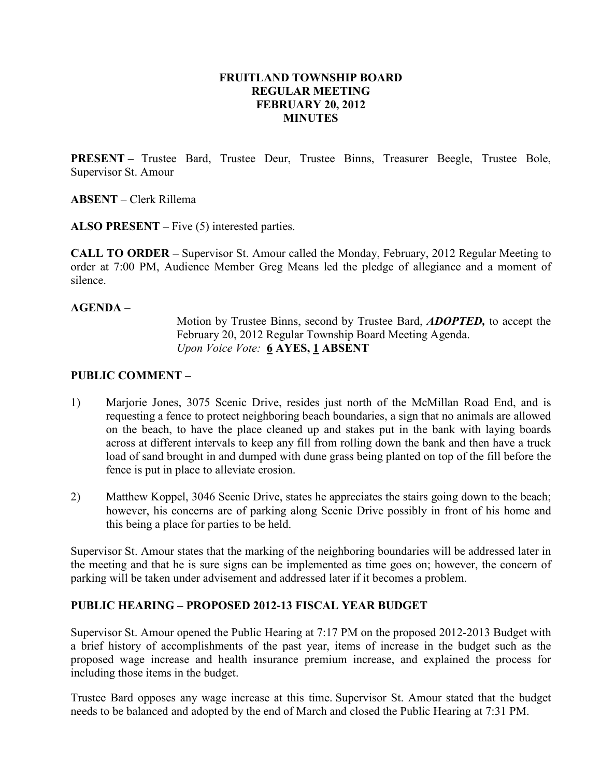### FRUITLAND TOWNSHIP BOARD REGULAR MEETING FEBRUARY 20, 2012 **MINUTES**

PRESENT – Trustee Bard, Trustee Deur, Trustee Binns, Treasurer Beegle, Trustee Bole, Supervisor St. Amour

ABSENT – Clerk Rillema

ALSO PRESENT – Five (5) interested parties.

CALL TO ORDER – Supervisor St. Amour called the Monday, February, 2012 Regular Meeting to order at 7:00 PM, Audience Member Greg Means led the pledge of allegiance and a moment of silence.

### AGENDA –

 Motion by Trustee Binns, second by Trustee Bard, ADOPTED, to accept the February 20, 2012 Regular Township Board Meeting Agenda. Upon Voice Vote: 6 AYES, 1 ABSENT

## PUBLIC COMMENT –

- 1) Marjorie Jones, 3075 Scenic Drive, resides just north of the McMillan Road End, and is requesting a fence to protect neighboring beach boundaries, a sign that no animals are allowed on the beach, to have the place cleaned up and stakes put in the bank with laying boards across at different intervals to keep any fill from rolling down the bank and then have a truck load of sand brought in and dumped with dune grass being planted on top of the fill before the fence is put in place to alleviate erosion.
- 2) Matthew Koppel, 3046 Scenic Drive, states he appreciates the stairs going down to the beach; however, his concerns are of parking along Scenic Drive possibly in front of his home and this being a place for parties to be held.

Supervisor St. Amour states that the marking of the neighboring boundaries will be addressed later in the meeting and that he is sure signs can be implemented as time goes on; however, the concern of parking will be taken under advisement and addressed later if it becomes a problem.

## PUBLIC HEARING – PROPOSED 2012-13 FISCAL YEAR BUDGET

Supervisor St. Amour opened the Public Hearing at 7:17 PM on the proposed 2012-2013 Budget with a brief history of accomplishments of the past year, items of increase in the budget such as the proposed wage increase and health insurance premium increase, and explained the process for including those items in the budget.

Trustee Bard opposes any wage increase at this time. Supervisor St. Amour stated that the budget needs to be balanced and adopted by the end of March and closed the Public Hearing at 7:31 PM.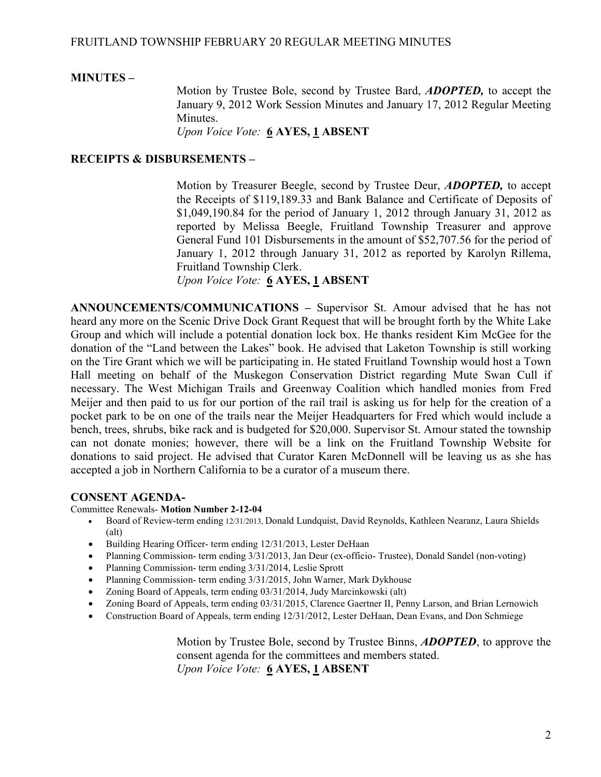### MINUTES –

Motion by Trustee Bole, second by Trustee Bard, ADOPTED, to accept the January 9, 2012 Work Session Minutes and January 17, 2012 Regular Meeting Minutes.

Upon Voice Vote: 6 AYES, 1 ABSENT

# RECEIPTS & DISBURSEMENTS –

Motion by Treasurer Beegle, second by Trustee Deur, **ADOPTED**, to accept the Receipts of \$119,189.33 and Bank Balance and Certificate of Deposits of \$1,049,190.84 for the period of January 1, 2012 through January 31, 2012 as reported by Melissa Beegle, Fruitland Township Treasurer and approve General Fund 101 Disbursements in the amount of \$52,707.56 for the period of January 1, 2012 through January 31, 2012 as reported by Karolyn Rillema, Fruitland Township Clerk.

Upon Voice Vote: 6 AYES, 1 ABSENT

ANNOUNCEMENTS/COMMUNICATIONS – Supervisor St. Amour advised that he has not heard any more on the Scenic Drive Dock Grant Request that will be brought forth by the White Lake Group and which will include a potential donation lock box. He thanks resident Kim McGee for the donation of the "Land between the Lakes" book. He advised that Laketon Township is still working on the Tire Grant which we will be participating in. He stated Fruitland Township would host a Town Hall meeting on behalf of the Muskegon Conservation District regarding Mute Swan Cull if necessary. The West Michigan Trails and Greenway Coalition which handled monies from Fred Meijer and then paid to us for our portion of the rail trail is asking us for help for the creation of a pocket park to be on one of the trails near the Meijer Headquarters for Fred which would include a bench, trees, shrubs, bike rack and is budgeted for \$20,000. Supervisor St. Amour stated the township can not donate monies; however, there will be a link on the Fruitland Township Website for donations to said project. He advised that Curator Karen McDonnell will be leaving us as she has accepted a job in Northern California to be a curator of a museum there.

#### CONSENT AGENDA-

Committee Renewals- Motion Number 2-12-04

- Board of Review-term ending 12/31/2013, Donald Lundquist, David Reynolds, Kathleen Nearanz, Laura Shields (alt)
- Building Hearing Officer- term ending 12/31/2013, Lester DeHaan
- Planning Commission- term ending 3/31/2013, Jan Deur (ex-officio- Trustee), Donald Sandel (non-voting)
- Planning Commission- term ending  $3/31/2014$ , Leslie Sprott
- Planning Commission- term ending 3/31/2015, John Warner, Mark Dykhouse
- Zoning Board of Appeals, term ending 03/31/2014, Judy Marcinkowski (alt)
- Zoning Board of Appeals, term ending 03/31/2015, Clarence Gaertner II, Penny Larson, and Brian Lernowich
- Construction Board of Appeals, term ending 12/31/2012, Lester DeHaan, Dean Evans, and Don Schmiege

 Motion by Trustee Bole, second by Trustee Binns, ADOPTED, to approve the consent agenda for the committees and members stated. Upon Voice Vote: 6 AYES, 1 ABSENT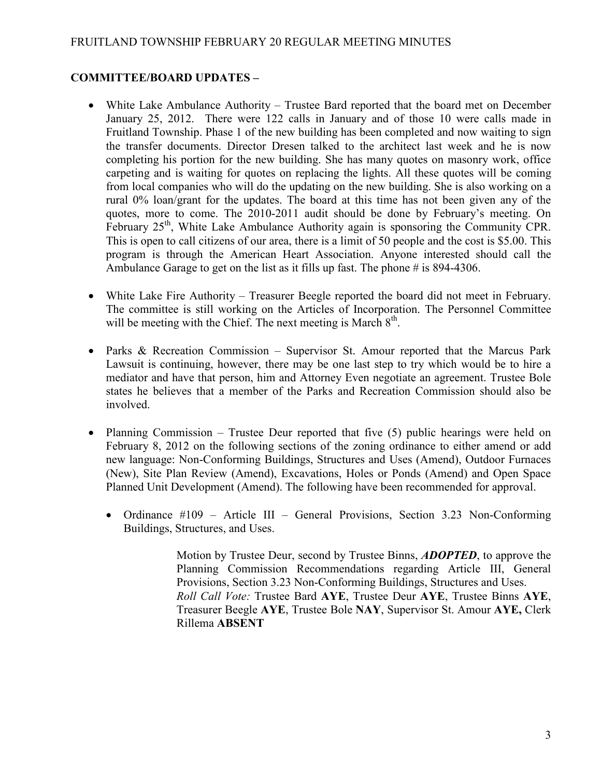# COMMITTEE/BOARD UPDATES –

- White Lake Ambulance Authority Trustee Bard reported that the board met on December January 25, 2012. There were 122 calls in January and of those 10 were calls made in Fruitland Township. Phase 1 of the new building has been completed and now waiting to sign the transfer documents. Director Dresen talked to the architect last week and he is now completing his portion for the new building. She has many quotes on masonry work, office carpeting and is waiting for quotes on replacing the lights. All these quotes will be coming from local companies who will do the updating on the new building. She is also working on a rural 0% loan/grant for the updates. The board at this time has not been given any of the quotes, more to come. The 2010-2011 audit should be done by February's meeting. On February  $25<sup>th</sup>$ , White Lake Ambulance Authority again is sponsoring the Community CPR. This is open to call citizens of our area, there is a limit of 50 people and the cost is \$5.00. This program is through the American Heart Association. Anyone interested should call the Ambulance Garage to get on the list as it fills up fast. The phone # is 894-4306.
- White Lake Fire Authority Treasurer Beegle reported the board did not meet in February. The committee is still working on the Articles of Incorporation. The Personnel Committee will be meeting with the Chief. The next meeting is March  $8<sup>th</sup>$ .
- Parks & Recreation Commission Supervisor St. Amour reported that the Marcus Park Lawsuit is continuing, however, there may be one last step to try which would be to hire a mediator and have that person, him and Attorney Even negotiate an agreement. Trustee Bole states he believes that a member of the Parks and Recreation Commission should also be involved.
- Planning Commission Trustee Deur reported that five (5) public hearings were held on February 8, 2012 on the following sections of the zoning ordinance to either amend or add new language: Non-Conforming Buildings, Structures and Uses (Amend), Outdoor Furnaces (New), Site Plan Review (Amend), Excavations, Holes or Ponds (Amend) and Open Space Planned Unit Development (Amend). The following have been recommended for approval.
	- Ordinance #109 Article III General Provisions, Section 3.23 Non-Conforming Buildings, Structures, and Uses.

Motion by Trustee Deur, second by Trustee Binns, **ADOPTED**, to approve the Planning Commission Recommendations regarding Article III, General Provisions, Section 3.23 Non-Conforming Buildings, Structures and Uses. Roll Call Vote: Trustee Bard AYE, Trustee Deur AYE, Trustee Binns AYE, Treasurer Beegle AYE, Trustee Bole NAY, Supervisor St. Amour AYE, Clerk Rillema ABSENT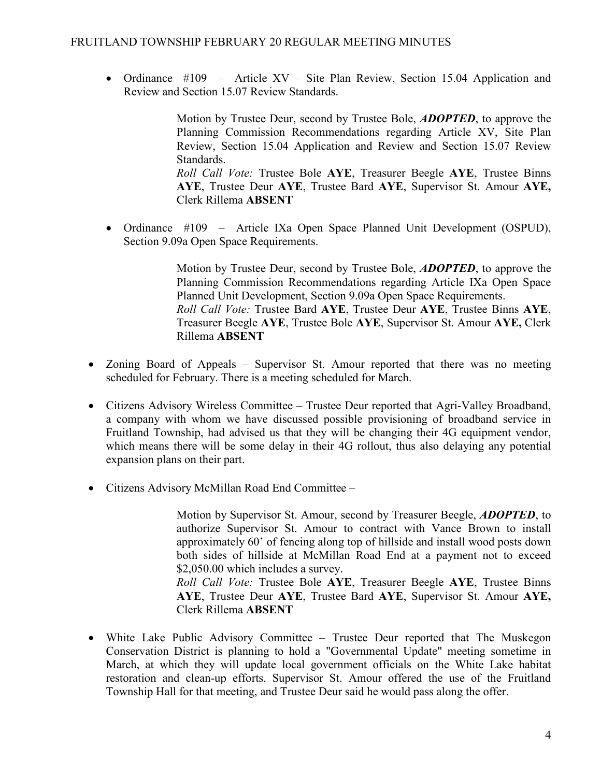• Ordinance #109 – Article XV – Site Plan Review, Section 15.04 Application and Review and Section 15.07 Review Standards.

> Motion by Trustee Deur, second by Trustee Bole, ADOPTED, to approve the Planning Commission Recommendations regarding Article XV, Site Plan Review, Section 15.04 Application and Review and Section 15.07 Review Standards. Roll Call Vote: Trustee Bole AYE, Treasurer Beegle AYE, Trustee Binns AYE, Trustee Deur AYE, Trustee Bard AYE, Supervisor St. Amour AYE, Clerk Rillema ABSENT

• Ordinance #109 – Article IXa Open Space Planned Unit Development (OSPUD), Section 9.09a Open Space Requirements.

> Motion by Trustee Deur, second by Trustee Bole, ADOPTED, to approve the Planning Commission Recommendations regarding Article IXa Open Space Planned Unit Development, Section 9.09a Open Space Requirements. Roll Call Vote: Trustee Bard AYE, Trustee Deur AYE, Trustee Binns AYE, Treasurer Beegle AYE, Trustee Bole AYE, Supervisor St. Amour AYE, Clerk Rillema ABSENT

- Zoning Board of Appeals Supervisor St. Amour reported that there was no meeting scheduled for February. There is a meeting scheduled for March.
- Citizens Advisory Wireless Committee Trustee Deur reported that Agri-Valley Broadband, a company with whom we have discussed possible provisioning of broadband service in Fruitland Township, had advised us that they will be changing their 4G equipment vendor, which means there will be some delay in their 4G rollout, thus also delaying any potential expansion plans on their part.
- Citizens Advisory McMillan Road End Committee –

Motion by Supervisor St. Amour, second by Treasurer Beegle, ADOPTED, to authorize Supervisor St. Amour to contract with Vance Brown to install approximately 60' of fencing along top of hillside and install wood posts down both sides of hillside at McMillan Road End at a payment not to exceed \$2,050.00 which includes a survey.

Roll Call Vote: Trustee Bole AYE, Treasurer Beegle AYE, Trustee Binns AYE, Trustee Deur AYE, Trustee Bard AYE, Supervisor St. Amour AYE, Clerk Rillema ABSENT

• White Lake Public Advisory Committee – Trustee Deur reported that The Muskegon Conservation District is planning to hold a "Governmental Update" meeting sometime in March, at which they will update local government officials on the White Lake habitat restoration and clean-up efforts. Supervisor St. Amour offered the use of the Fruitland Township Hall for that meeting, and Trustee Deur said he would pass along the offer.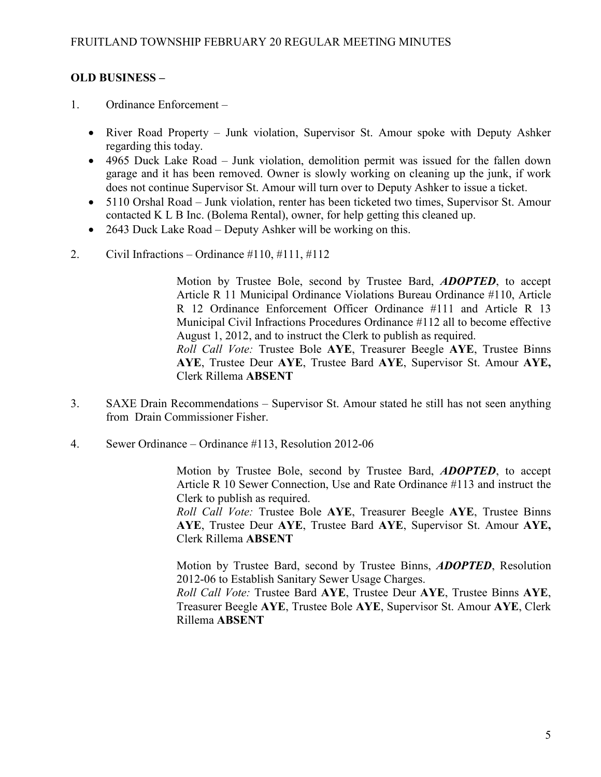# OLD BUSINESS –

- 1. Ordinance Enforcement
	- River Road Property Junk violation, Supervisor St. Amour spoke with Deputy Ashker regarding this today.
	- 4965 Duck Lake Road Junk violation, demolition permit was issued for the fallen down garage and it has been removed. Owner is slowly working on cleaning up the junk, if work does not continue Supervisor St. Amour will turn over to Deputy Ashker to issue a ticket.
	- 5110 Orshal Road Junk violation, renter has been ticketed two times, Supervisor St. Amour contacted K L B Inc. (Bolema Rental), owner, for help getting this cleaned up.
	- 2643 Duck Lake Road Deputy Ashker will be working on this.
- 2. Civil Infractions Ordinance  $\#110, \#111, \#112$

Motion by Trustee Bole, second by Trustee Bard, **ADOPTED**, to accept Article R 11 Municipal Ordinance Violations Bureau Ordinance #110, Article R 12 Ordinance Enforcement Officer Ordinance #111 and Article R 13 Municipal Civil Infractions Procedures Ordinance #112 all to become effective August 1, 2012, and to instruct the Clerk to publish as required. Roll Call Vote: Trustee Bole AYE, Treasurer Beegle AYE, Trustee Binns AYE, Trustee Deur AYE, Trustee Bard AYE, Supervisor St. Amour AYE, Clerk Rillema ABSENT

- 3. SAXE Drain Recommendations Supervisor St. Amour stated he still has not seen anything from Drain Commissioner Fisher.
- 4. Sewer Ordinance Ordinance #113, Resolution 2012-06

 Motion by Trustee Bole, second by Trustee Bard, ADOPTED, to accept Article R 10 Sewer Connection, Use and Rate Ordinance #113 and instruct the Clerk to publish as required.

Roll Call Vote: Trustee Bole AYE, Treasurer Beegle AYE, Trustee Binns AYE, Trustee Deur AYE, Trustee Bard AYE, Supervisor St. Amour AYE, Clerk Rillema ABSENT

Motion by Trustee Bard, second by Trustee Binns, **ADOPTED**, Resolution 2012-06 to Establish Sanitary Sewer Usage Charges.

Roll Call Vote: Trustee Bard AYE, Trustee Deur AYE, Trustee Binns AYE, Treasurer Beegle AYE, Trustee Bole AYE, Supervisor St. Amour AYE, Clerk Rillema ABSENT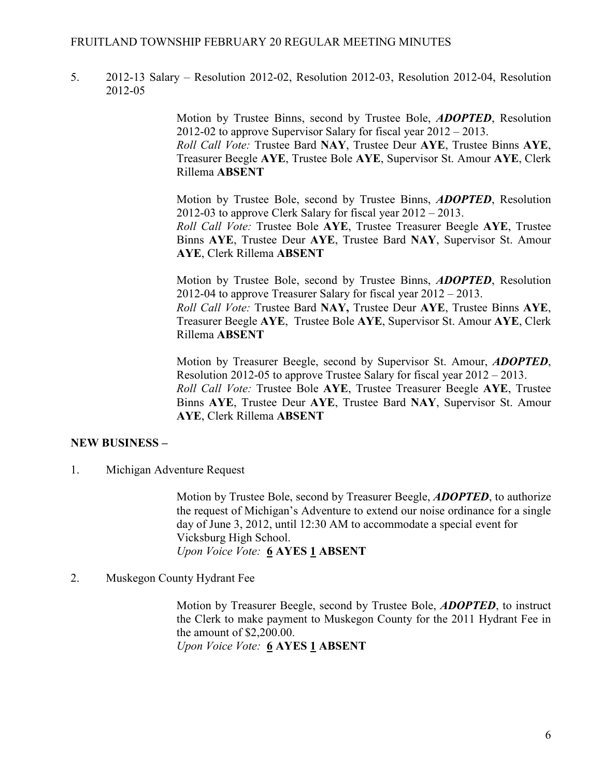### FRUITLAND TOWNSHIP FEBRUARY 20 REGULAR MEETING MINUTES

5. 2012-13 Salary – Resolution 2012-02, Resolution 2012-03, Resolution 2012-04, Resolution 2012-05

> Motion by Trustee Binns, second by Trustee Bole, ADOPTED, Resolution 2012-02 to approve Supervisor Salary for fiscal year 2012 – 2013. Roll Call Vote: Trustee Bard NAY, Trustee Deur AYE, Trustee Binns AYE, Treasurer Beegle AYE, Trustee Bole AYE, Supervisor St. Amour AYE, Clerk Rillema ABSENT

> Motion by Trustee Bole, second by Trustee Binns, ADOPTED, Resolution 2012-03 to approve Clerk Salary for fiscal year 2012 – 2013. Roll Call Vote: Trustee Bole AYE, Trustee Treasurer Beegle AYE, Trustee Binns AYE, Trustee Deur AYE, Trustee Bard NAY, Supervisor St. Amour AYE, Clerk Rillema ABSENT

> Motion by Trustee Bole, second by Trustee Binns, ADOPTED, Resolution 2012-04 to approve Treasurer Salary for fiscal year 2012 – 2013. Roll Call Vote: Trustee Bard NAY, Trustee Deur AYE, Trustee Binns AYE, Treasurer Beegle AYE, Trustee Bole AYE, Supervisor St. Amour AYE, Clerk Rillema ABSENT

> Motion by Treasurer Beegle, second by Supervisor St. Amour, ADOPTED, Resolution 2012-05 to approve Trustee Salary for fiscal year 2012 – 2013. Roll Call Vote: Trustee Bole AYE, Trustee Treasurer Beegle AYE, Trustee Binns AYE, Trustee Deur AYE, Trustee Bard NAY, Supervisor St. Amour AYE, Clerk Rillema ABSENT

## NEW BUSINESS –

1. Michigan Adventure Request

Motion by Trustee Bole, second by Treasurer Beegle, **ADOPTED**, to authorize the request of Michigan's Adventure to extend our noise ordinance for a single day of June 3, 2012, until 12:30 AM to accommodate a special event for Vicksburg High School. Upon Voice Vote: 6 AYES 1 ABSENT

2. Muskegon County Hydrant Fee

Motion by Treasurer Beegle, second by Trustee Bole, **ADOPTED**, to instruct the Clerk to make payment to Muskegon County for the 2011 Hydrant Fee in the amount of \$2,200.00. Upon Voice Vote: 6 AYES 1 ABSENT